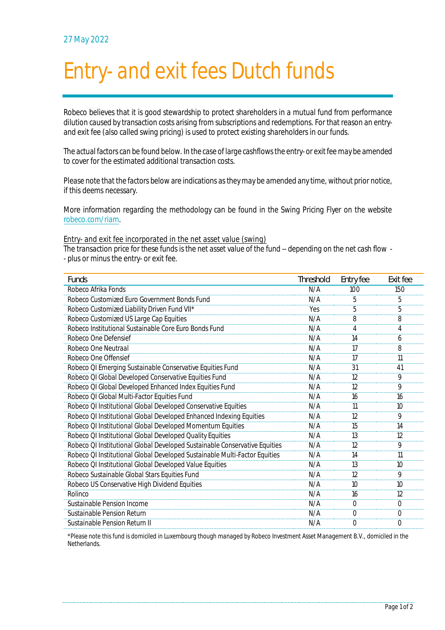## Entry- and exit fees Dutch funds

Robeco believes that it is good stewardship to protect shareholders in a mutual fund from performance dilution caused by transaction costs arising from subscriptions and redemptions. For that reason an entryand exit fee (also called swing pricing) is used to protect existing shareholders in our funds.

The actual factors can be found below. In the case of large cashflows the entry- or exit fee may be amended to cover for the estimated additional transaction costs.

Please note that the factors below are indications as they may be amended any time, without prior notice, if this deems necessary.

More information regarding the methodology can be found in the Swing Pricing Flyer on the website [robeco.com/riam.](http://www.robeco.com/riam)

Entry- and exit fee incorporated in the net asset value (swing)

The transaction price for these funds is the net asset value of the fund -- depending on the net cash flow - - plus or minus the entry- or exit fee.

| Funds                                                                      | <b>Threshold</b> | Entry fee      | Exit fee       |
|----------------------------------------------------------------------------|------------------|----------------|----------------|
| Robeco Afrika Fonds                                                        | N/A              | 100            | 150            |
| Robeco Customized Euro Government Bonds Fund                               | N/A              | 5              | 5              |
| Robeco Customized Liability Driven Fund VII*                               | Yes              | 5              | 5              |
| Robeco Customized US Large Cap Equities                                    | N/A              | 8              | 8              |
| Robeco Institutional Sustainable Core Euro Bonds Fund                      | N/A              | 4              | 4              |
| Robeco One Defensief                                                       | N/A              | 14             | 6              |
| Robeco One Neutraal                                                        | N/A              | 17             | 8              |
| Robeco One Offensief                                                       | N/A              | 17             | 11             |
| Robeco QI Emerging Sustainable Conservative Equities Fund                  | N/A              | 31             | 41             |
| Robeco QI Global Developed Conservative Equities Fund                      | N/A              | 12             | 9              |
| Robeco QI Global Developed Enhanced Index Equities Fund                    | N/A              | 12             | 9              |
| Robeco QI Global Multi-Factor Equities Fund                                | N/A              | 16             | 16             |
| Robeco QI Institutional Global Developed Conservative Equities             | N/A              | 11             | 10             |
| Robeco QI Institutional Global Developed Enhanced Indexing Equities        | N/A              | 12             | 9              |
| Robeco QI Institutional Global Developed Momentum Equities                 | N/A              | 15             | 14             |
| Robeco QI Institutional Global Developed Quality Equities                  | N/A              | 13             | 12             |
| Robeco QI Institutional Global Developed Sustainable Conservative Equities | N/A              | 12             | 9              |
| Robeco QI Institutional Global Developed Sustainable Multi-Factor Equities | N/A              | 14             | 11             |
| Robeco QI Institutional Global Developed Value Equities                    | N/A              | 13             | 10             |
| Robeco Sustainable Global Stars Equities Fund                              | N/A              | 12             | 9              |
| Robeco US Conservative High Dividend Equities                              | N/A              | 10             | 10             |
| Rolinco                                                                    | N/A              | 16             | 12             |
| Sustainable Pension Income                                                 | N/A              | $\overline{0}$ | $\overline{0}$ |
| Sustainable Pension Return                                                 | N/A              | $\overline{0}$ | 0              |
| Sustainable Pension Return II                                              | N/A              | $\Omega$       | $\Omega$       |

\*Please note this fund is domiciled in Luxembourg though managed by Robeco Investment Asset Management B.V., domiciled in the Netherlands.